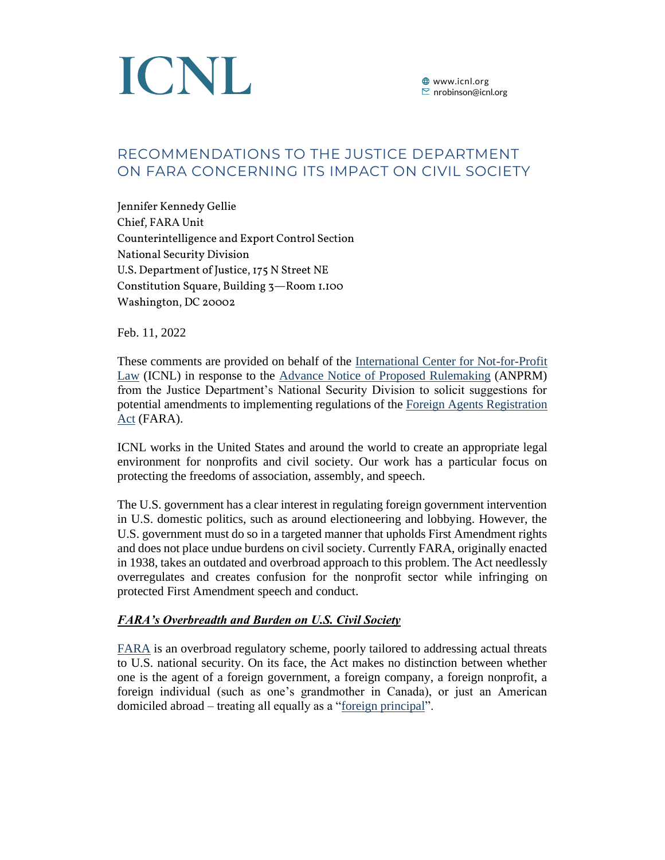

# RECOMMENDATIONS TO THE JUSTICE DEPARTMENT ON FARA CONCERNING ITS IMPACT ON CIVIL SOCIETY

Jennifer Kennedy Gellie Chief, FARA Unit Counterintelligence and Export Control Section National Security Division U.S. Department of Justice, 175 N Street NE Constitution Square, Building 3—Room 1.100 Washington, DC 20002

Feb. 11, 2022

These comments are provided on behalf of the [International Center for Not-for-Profit](https://www.icnl.org/)  [Law](https://www.icnl.org/) (ICNL) in response to the Advance [Notice of Proposed](https://www.regulations.gov/document/DOJ-LA-2021-0006-0001) Rulemaking (ANPRM) from the Justice Department's National Security Division to solicit suggestions for potential amendments to implementing regulations of the [Foreign Agents Registration](https://www.govinfo.gov/content/pkg/USCODE-2009-title22/pdf/USCODE-2009-title22-chap11-subchapII.pdf)  [Act](https://www.govinfo.gov/content/pkg/USCODE-2009-title22/pdf/USCODE-2009-title22-chap11-subchapII.pdf) (FARA).

ICNL works in the United States and around the world to create an appropriate legal environment for nonprofits and civil society. Our work has a particular focus on protecting the freedoms of association, assembly, and speech.

The U.S. government has a clear interest in regulating foreign government intervention in U.S. domestic politics, such as around electioneering and lobbying. However, the U.S. government must do so in a targeted manner that upholds First Amendment rights and does not place undue burdens on civil society. Currently FARA, originally enacted in 1938, takes an outdated and overbroad approach to this problem. The Act needlessly overregulates and creates confusion for the nonprofit sector while infringing on protected First Amendment speech and conduct.

### *FARA's Overbreadth and Burden on U.S. Civil Society*

[FARA](https://www.govinfo.gov/content/pkg/USCODE-2009-title22/pdf/USCODE-2009-title22-chap11-subchapII.pdf) is an overbroad regulatory scheme, poorly tailored to addressing actual threats to U.S. national security. On its face, the Act makes no distinction between whether one is the agent of a foreign government, a foreign company, a foreign nonprofit, a foreign individual (such as one's grandmother in Canada), or just an American domiciled abroad – treating all equally as a ["foreign principal"](https://www.law.cornell.edu/uscode/text/22/611).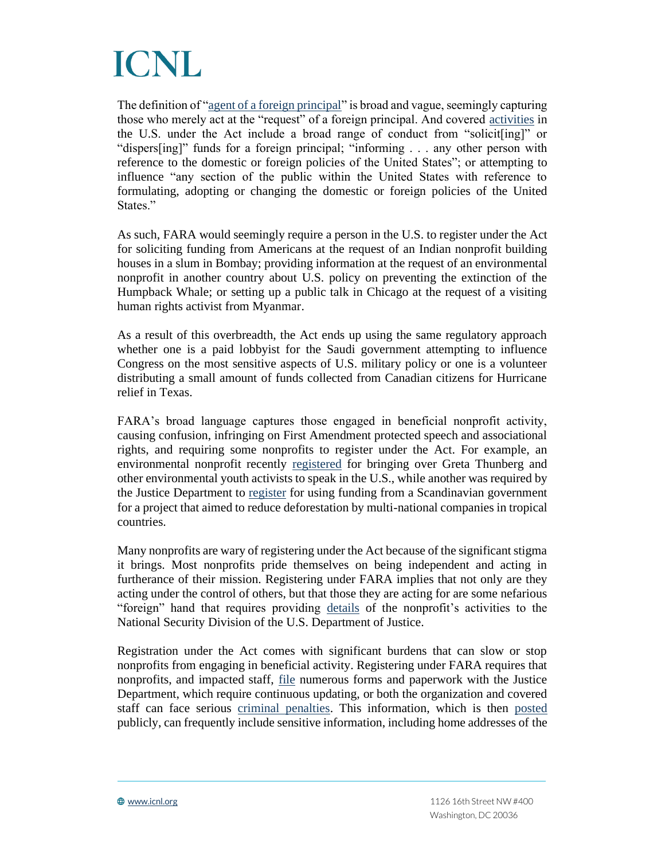

The definition of ["agent of a foreign principal"](https://www.law.cornell.edu/uscode/text/22/611) is broad and vague, seemingly capturing those who merely act at the "request" of a foreign principal. And covered [activities](https://www.law.cornell.edu/uscode/text/22/611) in the U.S. under the Act include a broad range of conduct from "solicit[ing]" or "dispers[ing]" funds for a foreign principal; "informing . . . any other person with reference to the domestic or foreign policies of the United States"; or attempting to influence "any section of the public within the United States with reference to formulating, adopting or changing the domestic or foreign policies of the United States."

As such, FARA would seemingly require a person in the U.S. to register under the Act for soliciting funding from Americans at the request of an Indian nonprofit building houses in a slum in Bombay; providing information at the request of an environmental nonprofit in another country about U.S. policy on preventing the extinction of the Humpback Whale; or setting up a public talk in Chicago at the request of a visiting human rights activist from Myanmar.

As a result of this overbreadth, the Act ends up using the same regulatory approach whether one is a paid lobbyist for the Saudi government attempting to influence Congress on the most sensitive aspects of U.S. military policy or one is a volunteer distributing a small amount of funds collected from Canadian citizens for Hurricane relief in Texas.

FARA's broad language captures those engaged in beneficial nonprofit activity, causing confusion, infringing on First Amendment protected speech and associational rights, and requiring some nonprofits to register under the Act. For example, an environmental nonprofit recently [registered](https://efile.fara.gov/ords/fara/f?p=1381:1:14997256986106:::::) for bringing over Greta Thunberg and other environmental youth activists to speak in the U.S., while another was required by the Justice Department to [register](https://www.justice.gov/nsd-fara/page/file/1287616/download) for using funding from a Scandinavian government for a project that aimed to reduce deforestation by multi-national companies in tropical countries.

Many nonprofits are wary of registering under the Act because of the significant stigma it brings. Most nonprofits pride themselves on being independent and acting in furtherance of their mission. Registering under FARA implies that not only are they acting under the control of others, but that those they are acting for are some nefarious "foreign" hand that requires providing [details](https://efile.fara.gov/ords/fara/f?p=1381:1:14997256986106:::::) of the nonprofit's activities to the National Security Division of the U.S. Department of Justice.

Registration under the Act comes with significant burdens that can slow or stop nonprofits from engaging in beneficial activity. Registering under FARA requires that nonprofits, and impacted staff, [file](https://www.law.cornell.edu/uscode/text/22/612) numerous forms and paperwork with the Justice Department, which require continuous updating, or both the organization and covered staff can face serious [criminal penalties.](https://www.law.cornell.edu/uscode/text/22/618) This information, which is then [posted](https://efile.fara.gov/ords/fara/f?p=1381:1:14997256986106:::::) publicly, can frequently include sensitive information, including home addresses of the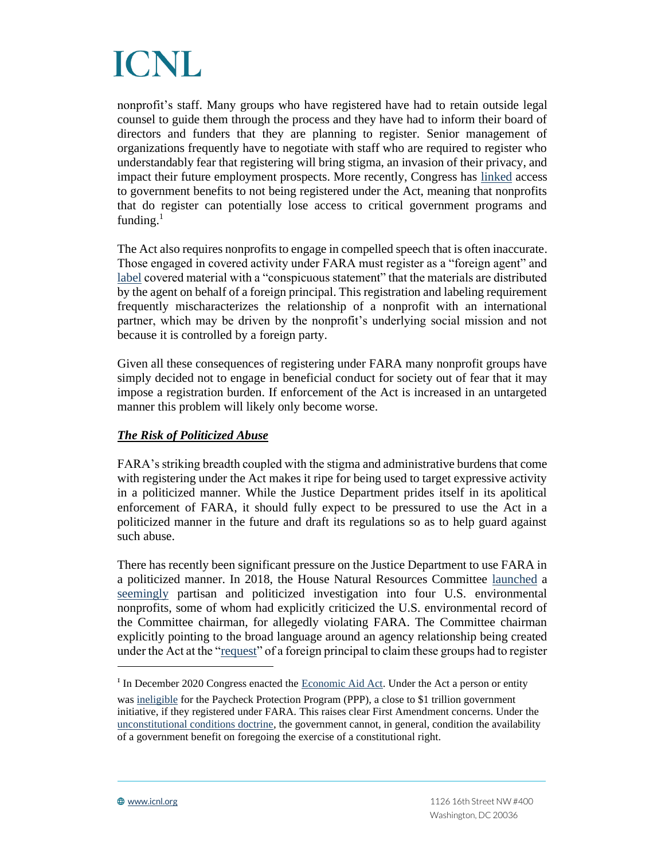

nonprofit's staff. Many groups who have registered have had to retain outside legal counsel to guide them through the process and they have had to inform their board of directors and funders that they are planning to register. Senior management of organizations frequently have to negotiate with staff who are required to register who understandably fear that registering will bring stigma, an invasion of their privacy, and impact their future employment prospects. More recently, Congress has [linked](https://www.lexology.com/library/detail.aspx?g=5236ae95-ea30-495d-9186-0cbc5526fbd2) access to government benefits to not being registered under the Act, meaning that nonprofits that do register can potentially lose access to critical government programs and funding. $<sup>1</sup>$ </sup>

The Act also requires nonprofits to engage in compelled speech that is often inaccurate. Those engaged in covered activity under FARA must register as a "foreign agent" and [label](https://www.law.cornell.edu/uscode/text/22/614) covered material with a "conspicuous statement" that the materials are distributed by the agent on behalf of a foreign principal. This registration and labeling requirement frequently mischaracterizes the relationship of a nonprofit with an international partner, which may be driven by the nonprofit's underlying social mission and not because it is controlled by a foreign party.

Given all these consequences of registering under FARA many nonprofit groups have simply decided not to engage in beneficial conduct for society out of fear that it may impose a registration burden. If enforcement of the Act is increased in an untargeted manner this problem will likely only become worse.

### *The Risk of Politicized Abuse*

FARA's striking breadth coupled with the stigma and administrative burdens that come with registering under the Act makes it ripe for being used to target expressive activity in a politicized manner. While the Justice Department prides itself in its apolitical enforcement of FARA, it should fully expect to be pressured to use the Act in a politicized manner in the future and draft its regulations so as to help guard against such abuse.

There has recently been significant pressure on the Justice Department to use FARA in a politicized manner. In 2018, the House Natural Resources Committee [launched](https://www.icnl.org/our-work/us-program/foreign-agents-registration-act) a [seemingly](https://prospect.org/power/fara-fiasco-congress-swings-manafort-hits-environmentalists/) partisan and politicized investigation into four U.S. environmental nonprofits, some of whom had explicitly criticized the U.S. environmental record of the Committee chairman, for allegedly violating FARA. The Committee chairman explicitly pointing to the broad language around an agency relationship being created under the Act at the ["request"](https://republicans-naturalresources.house.gov/newsroom/documentsingle.aspx?DocumentID=404900) of a foreign principal to claim these groups had to register

<sup>&</sup>lt;sup>I</sup> In December 2020 Congress enacted the [Economic Aid Act.](https://www.washingtonpost.com/us-policy/interactive/2020/covid-relief-bill-full-text/) Under the Act a person or entity was [ineligible](https://www.lexology.com/library/detail.aspx?g=5236ae95-ea30-495d-9186-0cbc5526fbd2) for the Paycheck Protection Program (PPP), a close to \$1 trillion government initiative, if they registered under FARA. This raises clear First Amendment concerns. Under the [unconstitutional conditions doctrine,](https://www.mtsu.edu/first-amendment/article/1026/unconstitutional-conditions-doctrine) the government cannot, in general, condition the availability of a government benefit on foregoing the exercise of a constitutional right.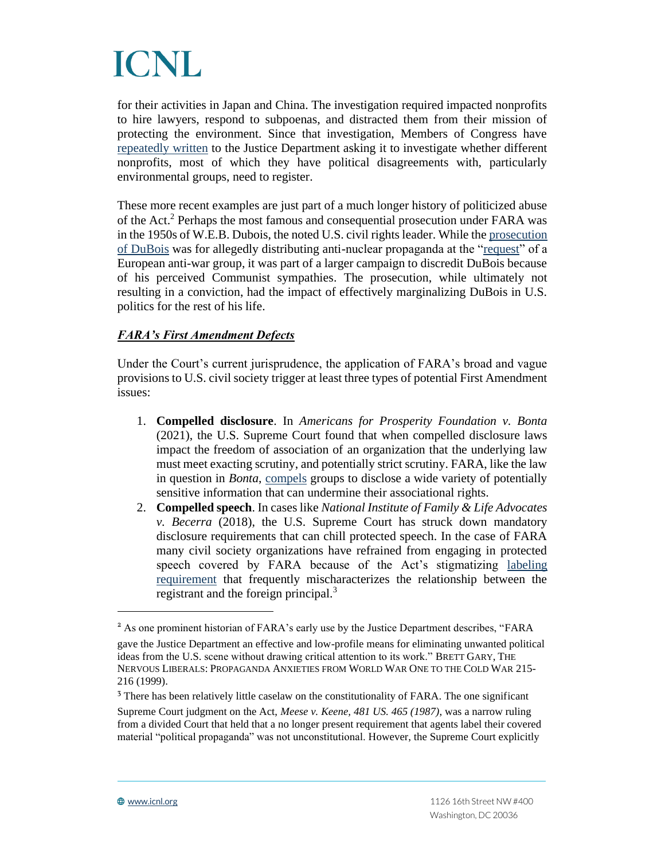for their activities in Japan and China. The investigation required impacted nonprofits to hire lawyers, respond to subpoenas, and distracted them from their mission of protecting the environment. Since that investigation, Members of Congress have [repeatedly written](https://www.icnl.org/our-work/us-program/foreign-agents-registration-act) to the Justice Department asking it to investigate whether different nonprofits, most of which they have political disagreements with, particularly environmental groups, need to register.

These more recent examples are just part of a much longer history of politicized abuse of the Act. <sup>2</sup> Perhaps the most famous and consequential prosecution under FARA was in the 1950s of W.E.B. Dubois, the noted U.S. civil rights leader. While th[e prosecution](https://bostonreview.net/articles/when-civil-rights-were-un-american/)  [of DuBois](https://bostonreview.net/articles/when-civil-rights-were-un-american/) was for allegedly distributing anti-nuclear propaganda at the ["request"](https://dlj.law.duke.edu/article/foreign-agents-in-an-interconnected-world-robinson-vol69-iss5/) of a European anti-war group, it was part of a larger campaign to discredit DuBois because of his perceived Communist sympathies. The prosecution, while ultimately not resulting in a conviction, had the impact of effectively marginalizing DuBois in U.S. politics for the rest of his life.

# *FARA's First Amendment Defects*

Under the Court's current jurisprudence, the application of FARA's broad and vague provisions to U.S. civil society trigger at least three types of potential First Amendment issues:

- 1. **Compelled disclosure**. In *Americans for Prosperity Foundation v. Bonta* (2021), the U.S. Supreme Court found that when compelled disclosure laws impact the freedom of association of an organization that the underlying law must meet exacting scrutiny, and potentially strict scrutiny. FARA, like the law in question in *Bonta*, [compels](https://www.law.cornell.edu/uscode/text/22/612) groups to disclose a wide variety of potentially sensitive information that can undermine their associational rights.
- 2. **Compelled speech**. In cases like *National Institute of Family & Life Advocates v. Becerra* (2018), the U.S. Supreme Court has struck down mandatory disclosure requirements that can chill protected speech. In the case of FARA many civil society organizations have refrained from engaging in protected speech covered by FARA because of the Act's stigmatizing [labeling](https://www.law.cornell.edu/uscode/text/22/614)  [requirement](https://www.law.cornell.edu/uscode/text/22/614) that frequently mischaracterizes the relationship between the registrant and the foreign principal.<sup>3</sup>

<sup>&</sup>lt;sup>2</sup> As one prominent historian of FARA's early use by the Justice Department describes, "FARA

gave the Justice Department an effective and low-profile means for eliminating unwanted political ideas from the U.S. scene without drawing critical attention to its work." BRETT GARY, THE NERVOUS LIBERALS: PROPAGANDA ANXIETIES FROM WORLD WAR ONE TO THE COLD WAR 215- 216 (1999).

<sup>&</sup>lt;sup>3</sup> There has been relatively little caselaw on the constitutionality of FARA. The one significant

Supreme Court judgment on the Act, *Meese v. Keene, 481 US. 465 (1987)*, was a narrow ruling from a divided Court that held that a no longer present requirement that agents label their covered material "political propaganda" was not unconstitutional. However, the Supreme Court explicitly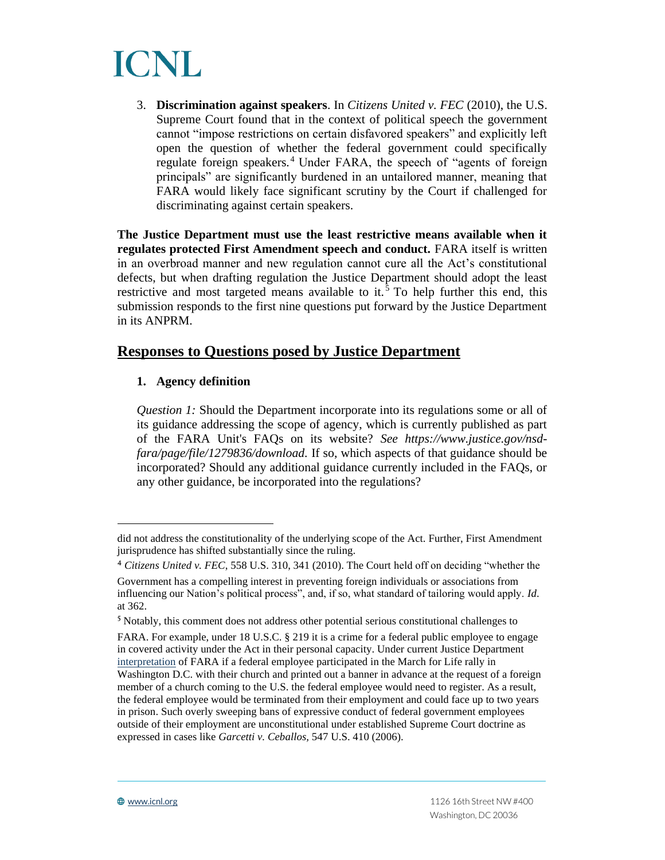

3. **Discrimination against speakers**. In *Citizens United v. FEC* (2010), the U.S. Supreme Court found that in the context of political speech the government cannot "impose restrictions on certain disfavored speakers" and explicitly left open the question of whether the federal government could specifically regulate foreign speakers. <sup>4</sup> Under FARA, the speech of "agents of foreign principals" are significantly burdened in an untailored manner, meaning that FARA would likely face significant scrutiny by the Court if challenged for discriminating against certain speakers.

**The Justice Department must use the least restrictive means available when it regulates protected First Amendment speech and conduct.** FARA itself is written in an overbroad manner and new regulation cannot cure all the Act's constitutional defects, but when drafting regulation the Justice Department should adopt the least restrictive and most targeted means available to it.<sup>5</sup> To help further this end, this submission responds to the first nine questions put forward by the Justice Department in its ANPRM.

# **Responses to Questions posed by Justice Department**

### **1. Agency definition**

*Question 1:* Should the Department incorporate into its regulations some or all of its guidance addressing the scope of agency, which is currently published as part of the FARA Unit's FAQs on its website? *See https://www.justice.gov/nsdfara/page/file/1279836/download.* If so, which aspects of that guidance should be incorporated? Should any additional guidance currently included in the FAQs, or any other guidance, be incorporated into the regulations?

did not address the constitutionality of the underlying scope of the Act. Further, First Amendment jurisprudence has shifted substantially since the ruling.

<sup>4</sup> *Citizens United v. FEC*, 558 U.S. 310, 341 (2010). The Court held off on deciding "whether the Government has a compelling interest in preventing foreign individuals or associations from influencing our Nation's political process", and, if so, what standard of tailoring would apply. *Id*. at 362.

<sup>5</sup> Notably, this comment does not address other potential serious constitutional challenges to

FARA. For example, under 18 U.S.C. § 219 it is a crime for a federal public employee to engage in covered activity under the Act in their personal capacity. Under current Justice Department [interpretation](https://www.justice.gov/nsd-fara/page/file/1232921/download) of FARA if a federal employee participated in the March for Life rally in Washington D.C. with their church and printed out a banner in advance at the request of a foreign member of a church coming to the U.S. the federal employee would need to register. As a result, the federal employee would be terminated from their employment and could face up to two years in prison. Such overly sweeping bans of expressive conduct of federal government employees outside of their employment are unconstitutional under established Supreme Court doctrine as expressed in cases like *Garcetti v. Ceballos,* 547 U.S. 410 (2006).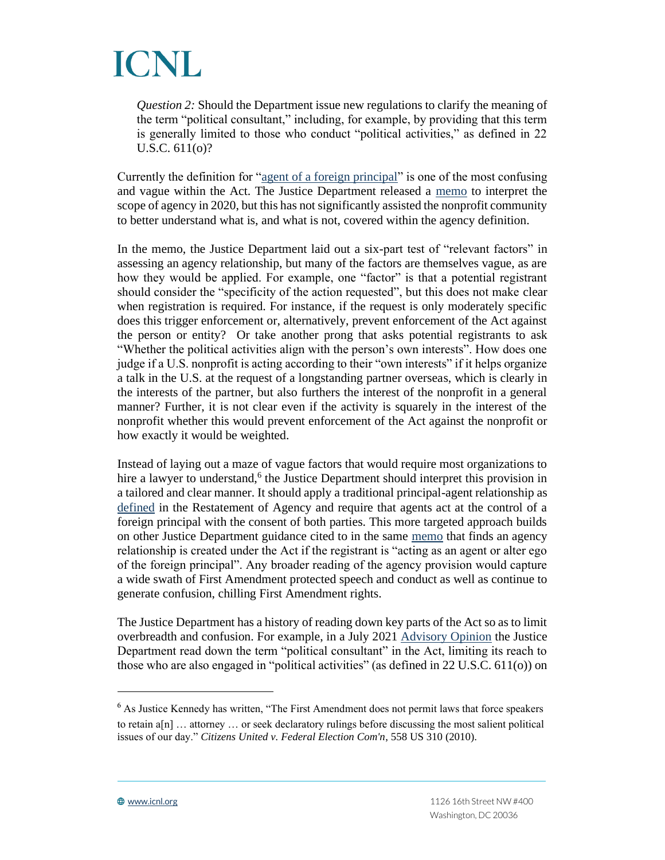

*Question 2:* Should the Department issue new regulations to clarify the meaning of the term "political consultant," including, for example, by providing that this term is generally limited to those who conduct "political activities," as defined in 22 U.S.C. 611(o)?

Currently the definition for ["agent of a foreign principal"](https://www.law.cornell.edu/uscode/text/22/611) is one of the most confusing and vague within the Act. The Justice Department released a [memo](https://www.justice.gov/nsd-fara/page/file/1279836/download) to interpret the scope of agency in 2020, but this has not significantly assisted the nonprofit community to better understand what is, and what is not, covered within the agency definition.

In the memo, the Justice Department laid out a six-part test of "relevant factors" in assessing an agency relationship, but many of the factors are themselves vague, as are how they would be applied. For example, one "factor" is that a potential registrant should consider the "specificity of the action requested", but this does not make clear when registration is required. For instance, if the request is only moderately specific does this trigger enforcement or, alternatively, prevent enforcement of the Act against the person or entity? Or take another prong that asks potential registrants to ask "Whether the political activities align with the person's own interests". How does one judge if a U.S. nonprofit is acting according to their "own interests" if it helps organize a talk in the U.S. at the request of a longstanding partner overseas, which is clearly in the interests of the partner, but also furthers the interest of the nonprofit in a general manner? Further, it is not clear even if the activity is squarely in the interest of the nonprofit whether this would prevent enforcement of the Act against the nonprofit or how exactly it would be weighted.

Instead of laying out a maze of vague factors that would require most organizations to hire a lawyer to understand,<sup>6</sup> the Justice Department should interpret this provision in a tailored and clear manner. It should apply a traditional principal-agent relationship as [defined](https://en.wikipedia.org/wiki/Restatement_of_the_Law_of_Agency,_Third) in the Restatement of Agency and require that agents act at the control of a foreign principal with the consent of both parties. This more targeted approach builds on other Justice Department guidance cited to in the same [memo](https://www.justice.gov/nsd-fara/page/file/1279836/download) that finds an agency relationship is created under the Act if the registrant is "acting as an agent or alter ego of the foreign principal". Any broader reading of the agency provision would capture a wide swath of First Amendment protected speech and conduct as well as continue to generate confusion, chilling First Amendment rights.

The Justice Department has a history of reading down key parts of the Act so as to limit overbreadth and confusion. For example, in a July 2021 [Advisory Opinion](https://www.justice.gov/nsd-fara/page/file/1431306/download) the Justice Department read down the term "political consultant" in the Act, limiting its reach to those who are also engaged in "political activities" (as defined in 22 U.S.C. 611(o)) on

<sup>&</sup>lt;sup>6</sup> As Justice Kennedy has written, "The First Amendment does not permit laws that force speakers to retain  $a[n]$  ... attorney ... or seek declaratory rulings before discussing the most salient political issues of our day." *Citizens United v. Federal Election Com'n*, 558 US 310 (2010).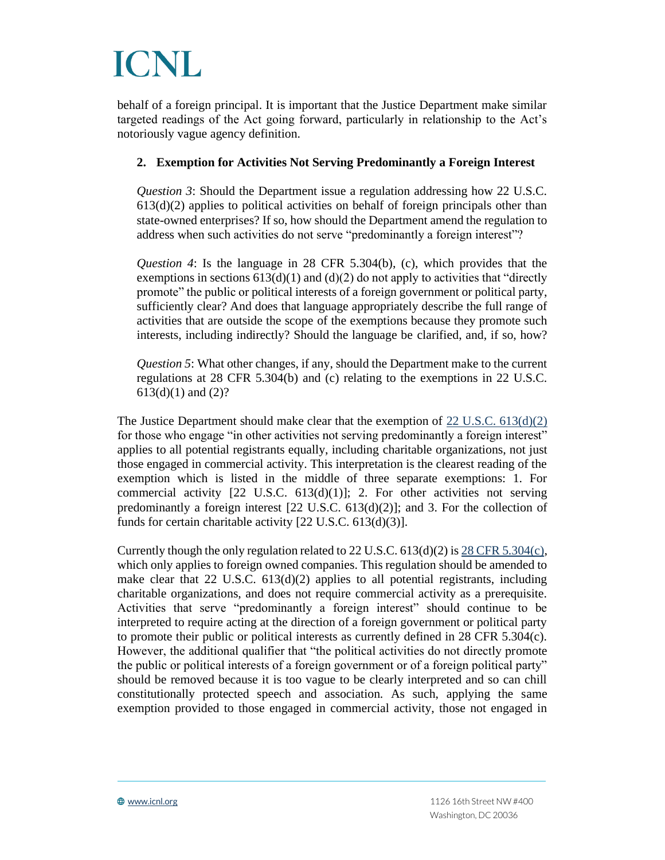behalf of a foreign principal. It is important that the Justice Department make similar targeted readings of the Act going forward, particularly in relationship to the Act's notoriously vague agency definition.

### **2. Exemption for Activities Not Serving Predominantly a Foreign Interest**

*Question 3*: Should the Department issue a regulation addressing how 22 U.S.C.  $613(d)(2)$  applies to political activities on behalf of foreign principals other than state-owned enterprises? If so, how should the Department amend the regulation to address when such activities do not serve "predominantly a foreign interest"?

*Question 4*: Is the language in 28 CFR 5.304(b), (c), which provides that the exemptions in sections  $613(d)(1)$  and  $(d)(2)$  do not apply to activities that "directly promote" the public or political interests of a foreign government or political party, sufficiently clear? And does that language appropriately describe the full range of activities that are outside the scope of the exemptions because they promote such interests, including indirectly? Should the language be clarified, and, if so, how?

*Question 5*: What other changes, if any, should the Department make to the current regulations at 28 CFR 5.304(b) and (c) relating to the exemptions in 22 U.S.C.  $613(d)(1)$  and  $(2)?$ 

The Justice Department should make clear that the exemption of  $22 \text{ U.S.C. } 613\text{ (d)}(2)$ for those who engage "in other activities not serving predominantly a foreign interest" applies to all potential registrants equally, including charitable organizations, not just those engaged in commercial activity. This interpretation is the clearest reading of the exemption which is listed in the middle of three separate exemptions: 1. For commercial activity  $[22 \text{ U.S.C. } 613(d)(1)];$  2. For other activities not serving predominantly a foreign interest [22 U.S.C. 613(d)(2)]; and 3. For the collection of funds for certain charitable activity [22 U.S.C. 613(d)(3)].

Currently though the only regulation related to 22 U.S.C.  $613(d)(2)$  i[s 28 CFR 5.304\(c\),](https://www.law.cornell.edu/cfr/text/28/5.304) which only applies to foreign owned companies. This regulation should be amended to make clear that 22 U.S.C. 613(d)(2) applies to all potential registrants, including charitable organizations, and does not require commercial activity as a prerequisite. Activities that serve "predominantly a foreign interest" should continue to be interpreted to require acting at the direction of a foreign government or political party to promote their public or political interests as currently defined in  $28$  CFR  $5.304(c)$ . However, the additional qualifier that "the political activities do not directly promote the public or political interests of a foreign government or of a foreign political party" should be removed because it is too vague to be clearly interpreted and so can chill constitutionally protected speech and association. As such, applying the same exemption provided to those engaged in commercial activity, those not engaged in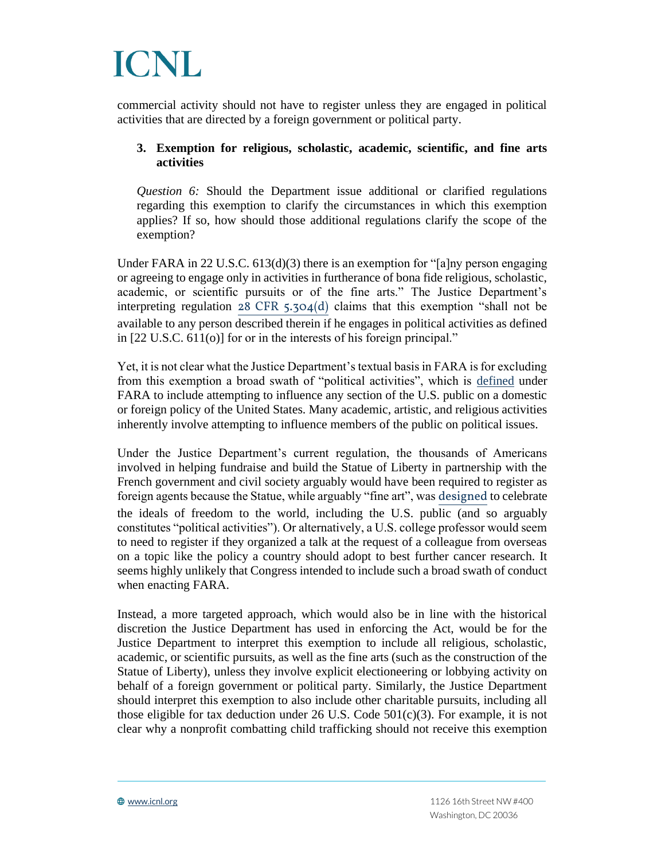

commercial activity should not have to register unless they are engaged in political activities that are directed by a foreign government or political party.

### **3. Exemption for religious, scholastic, academic, scientific, and fine arts activities**

*Question 6:* Should the Department issue additional or clarified regulations regarding this exemption to clarify the circumstances in which this exemption applies? If so, how should those additional regulations clarify the scope of the exemption?

Under FARA in 22 U.S.C. 613(d)(3) there is an exemption for "[a]ny person engaging or agreeing to engage only in activities in furtherance of bona fide religious, scholastic, academic, or scientific pursuits or of the fine arts." The Justice Department's interpreting regulation [28 CFR 5.304\(d\)](https://www.law.cornell.edu/cfr/text/28/5.304) claims that this exemption "shall not be available to any person described therein if he engages in political activities as defined in [22 U.S.C. 611(o)] for or in the interests of his foreign principal."

Yet, it is not clear what the Justice Department's textual basis in FARA is for excluding from this exemption a broad swath of "political activities", which is [defined](https://www.law.cornell.edu/uscode/text/22/611) under FARA to include attempting to influence any section of the U.S. public on a domestic or foreign policy of the United States. Many academic, artistic, and religious activities inherently involve attempting to influence members of the public on political issues.

Under the Justice Department's current regulation, the thousands of Americans involved in helping fundraise and build the Statue of Liberty in partnership with the French government and civil society arguably would have been required to register as foreign agents because the Statue, while arguably "fine art", was [designed](https://www.statueofliberty.org/statue-of-liberty/overview-history/) to celebrate the ideals of freedom to the world, including the U.S. public (and so arguably constitutes "political activities"). Or alternatively, a U.S. college professor would seem to need to register if they organized a talk at the request of a colleague from overseas on a topic like the policy a country should adopt to best further cancer research. It seems highly unlikely that Congress intended to include such a broad swath of conduct when enacting FARA.

Instead, a more targeted approach, which would also be in line with the historical discretion the Justice Department has used in enforcing the Act, would be for the Justice Department to interpret this exemption to include all religious, scholastic, academic, or scientific pursuits, as well as the fine arts (such as the construction of the Statue of Liberty), unless they involve explicit electioneering or lobbying activity on behalf of a foreign government or political party. Similarly, the Justice Department should interpret this exemption to also include other charitable pursuits, including all those eligible for tax deduction under 26 U.S. Code  $501(c)(3)$ . For example, it is not clear why a nonprofit combatting child trafficking should not receive this exemption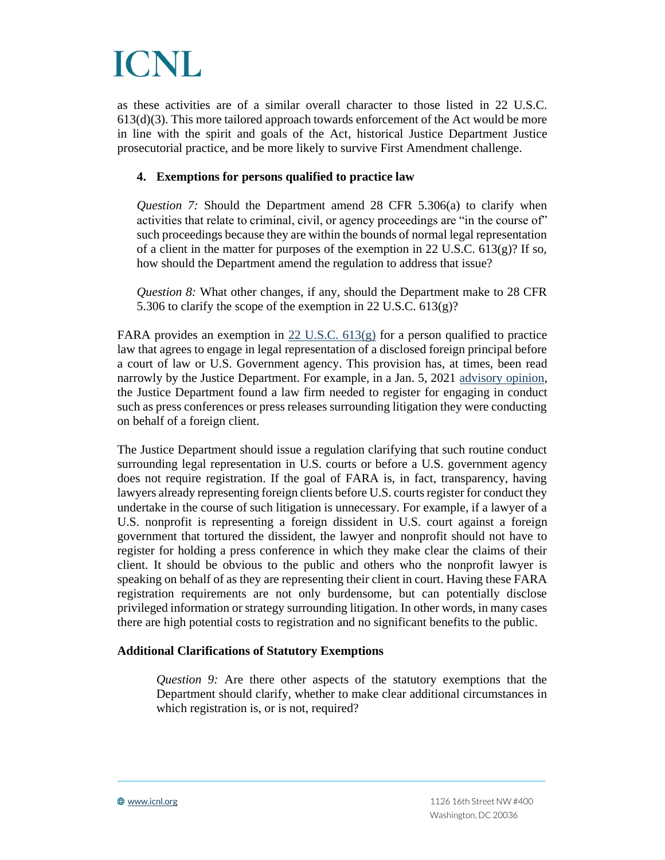as these activities are of a similar overall character to those listed in 22 U.S.C.  $613(d)(3)$ . This more tailored approach towards enforcement of the Act would be more in line with the spirit and goals of the Act, historical Justice Department Justice prosecutorial practice, and be more likely to survive First Amendment challenge.

### **4. Exemptions for persons qualified to practice law**

*Question 7:* Should the Department amend 28 CFR 5.306(a) to clarify when activities that relate to criminal, civil, or agency proceedings are "in the course of" such proceedings because they are within the bounds of normal legal representation of a client in the matter for purposes of the exemption in 22 U.S.C.  $613(g)$ ? If so, how should the Department amend the regulation to address that issue?

*Question 8:* What other changes, if any, should the Department make to 28 CFR 5.306 to clarify the scope of the exemption in 22 U.S.C. 613(g)?

FARA provides an exemption in 22 U.S.C.  $613(g)$  for a person qualified to practice law that agrees to engage in legal representation of a disclosed foreign principal before a court of law or U.S. Government agency. This provision has, at times, been read narrowly by the Justice Department. For example, in a Jan. 5, 2021 [advisory opinion,](https://www.justice.gov/nsd-fara/page/file/1351401/download) the Justice Department found a law firm needed to register for engaging in conduct such as press conferences or press releases surrounding litigation they were conducting on behalf of a foreign client.

The Justice Department should issue a regulation clarifying that such routine conduct surrounding legal representation in U.S. courts or before a U.S. government agency does not require registration. If the goal of FARA is, in fact, transparency, having lawyers already representing foreign clients before U.S. courts register for conduct they undertake in the course of such litigation is unnecessary. For example, if a lawyer of a U.S. nonprofit is representing a foreign dissident in U.S. court against a foreign government that tortured the dissident, the lawyer and nonprofit should not have to register for holding a press conference in which they make clear the claims of their client. It should be obvious to the public and others who the nonprofit lawyer is speaking on behalf of as they are representing their client in court. Having these FARA registration requirements are not only burdensome, but can potentially disclose privileged information or strategy surrounding litigation. In other words, in many cases there are high potential costs to registration and no significant benefits to the public.

# **Additional Clarifications of Statutory Exemptions**

*Question 9:* Are there other aspects of the statutory exemptions that the Department should clarify, whether to make clear additional circumstances in which registration is, or is not, required?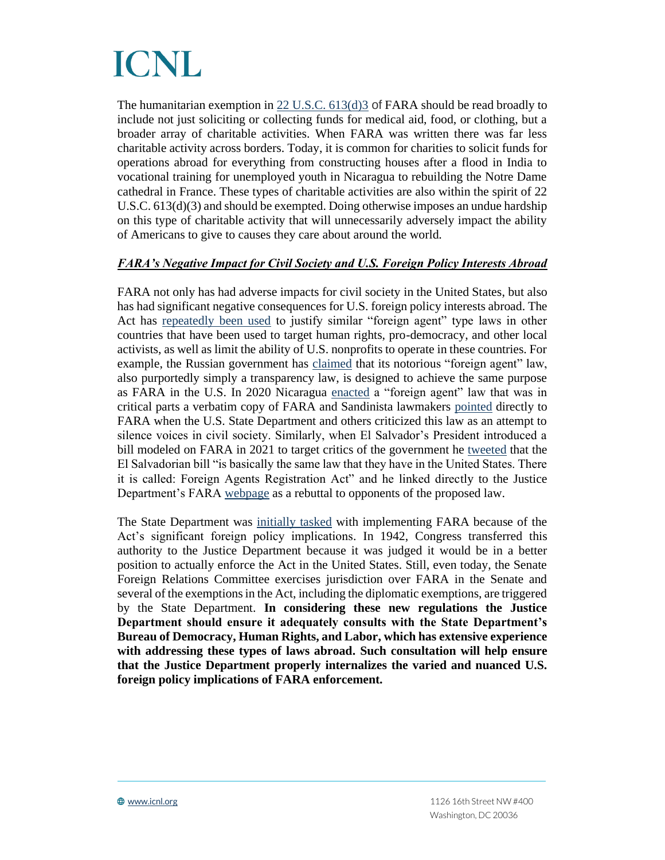The humanitarian exemption in [22 U.S.C. 613\(d\)3](https://www.law.cornell.edu/uscode/text/22/613) of FARA should be read broadly to include not just soliciting or collecting funds for medical aid, food, or clothing, but a broader array of charitable activities. When FARA was written there was far less charitable activity across borders. Today, it is common for charities to solicit funds for operations abroad for everything from constructing houses after a flood in India to vocational training for unemployed youth in Nicaragua to rebuilding the Notre Dame cathedral in France. These types of charitable activities are also within the spirit of 22 U.S.C.  $613(d)(3)$  and should be exempted. Doing otherwise imposes an undue hardship on this type of charitable activity that will unnecessarily adversely impact the ability of Americans to give to causes they care about around the world.

# *FARA's Negative Impact for Civil Society and U.S. Foreign Policy Interests Abroad*

FARA not only has had adverse impacts for civil society in the United States, but also has had significant negative consequences for U.S. foreign policy interests abroad. The Act has [repeatedly been used](https://www.icnl.org/wp-content/uploads/FARA-Abroad-05.26.2021.pdf) to justify similar "foreign agent" type laws in other countries that have been used to target human rights, pro-democracy, and other local activists, as well as limit the ability of U.S. nonprofits to operate in these countries. For example, the Russian government has [claimed](https://www.icnl.org/wp-content/uploads/FARA-Abroad-05.26.2021.pdf) that its notorious "foreign agent" law, also purportedly simply a transparency law, is designed to achieve the same purpose as FARA in the U.S. In 2020 Nicaragua [enacted](https://www.icnl.org/wp-content/uploads/FARA-Abroad-05.26.2021.pdf) a "foreign agent" law that was in critical parts a verbatim copy of FARA and Sandinista lawmakers [pointed](https://www.icnl.org/wp-content/uploads/FARA-Abroad-05.26.2021.pdf) directly to FARA when the U.S. State Department and others criticized this law as an attempt to silence voices in civil society. Similarly, when El Salvador's President introduced a bill modeled on FARA in 2021 to target critics of the government he [tweeted](https://twitter.com/nayibbukele/status/1458254648595386372) that the El Salvadorian bill "is basically the same law that they have in the United States. There it is called: Foreign Agents Registration Act" and he linked directly to the Justice Department's FARA [webpage](https://www.justice.gov/nsd-fara/legal-authority) as a rebuttal to opponents of the proposed law.

The State Department was [initially tasked](https://fara.us/2020/05/a-history-of-the-fara-unit/) with implementing FARA because of the Act's significant foreign policy implications. In 1942, Congress transferred this authority to the Justice Department because it was judged it would be in a better position to actually enforce the Act in the United States. Still, even today, the Senate Foreign Relations Committee exercises jurisdiction over FARA in the Senate and several of the exemptions in the Act, including the diplomatic exemptions, are triggered by the State Department. **In considering these new regulations the Justice Department should ensure it adequately consults with the State Department's Bureau of Democracy, Human Rights, and Labor, which has extensive experience with addressing these types of laws abroad. Such consultation will help ensure that the Justice Department properly internalizes the varied and nuanced U.S. foreign policy implications of FARA enforcement.**